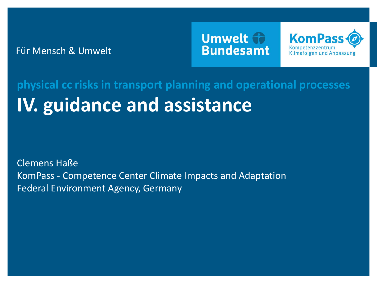Für Mensch & Umwelt

## Umwelt th **Bundesamt**



# **IV. guidance and assistance physical cc risks in transport planning and operational processes**

Clemens Haße KomPass - Competence Center Climate Impacts and Adaptation Federal Environment Agency, Germany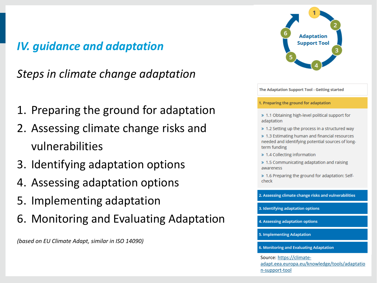## *IV. guidance and adaptation*

*Steps in climate change adaptation*

- 1. Preparing the ground for adaptation
- 2. Assessing climate change risks and vulnerabilities
- 3. Identifying adaptation options
- 4. Assessing adaptation options
- 5. Implementing adaptation
- 6. Monitoring and Evaluating Adaptation

*(based on EU Climate Adapt, similar in ISO 14090)*



The Adaptation Support Tool - Getting started

1. Preparing the ground for adaptation

- > 1.1 Obtaining high-level political support for adaptation
- > 1.2 Setting up the process in a structured way

> 1.3 Estimating human and financial resources needed and identifying potential sources of longterm funding

- » 1.4 Collecting information
- > 1.5 Communicating adaptation and raising awareness
- > 1.6 Preparing the ground for adaptation: Selfcheck

2. Assessing climate change risks and vulnerabilities

3. Identifying adaptation options

4. Assessing adaptation options

5. Implementing Adaptation

6. Monitoring and Evaluating Adaptation

Source: https://climate[adapt.eea.europa.eu/knowledge/tools/adaptatio](https://climate-adapt.eea.europa.eu/knowledge/tools/adaptation-support-tool) n-support-tool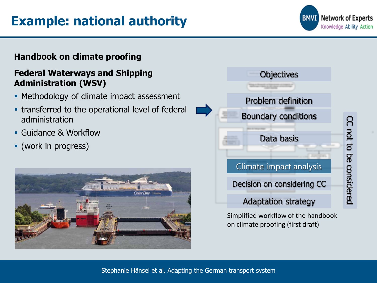## **Example: national authority**

#### **Handbook on climate proofing**

#### **Federal Waterways and Shipping Administration (WSV)**

- Methodology of climate impact assessment
- **transferred to the operational level of federal** administration
- Guidance & Workflow
- (work in progress)





**Network of Experts BMVI** Knowledge Ability Action

CC not to

considered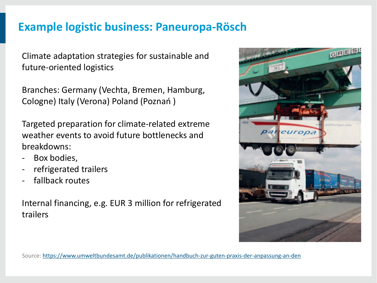### **Example logistic business: Paneuropa-Rösch**

Climate adaptation strategies for sustainable and future-oriented logistics

Branches: Germany (Vechta, Bremen, Hamburg, Cologne) Italy (Verona) Poland (Poznań )

Targeted preparation for climate-related extreme weather events to avoid future bottlenecks and breakdowns:

- Box bodies,
- refrigerated trailers
- fallback routes

Internal financing, e.g. EUR 3 million for refrigerated trailers



Source:<https://www.umweltbundesamt.de/publikationen/handbuch-zur-guten-praxis-der-anpassung-an-den>